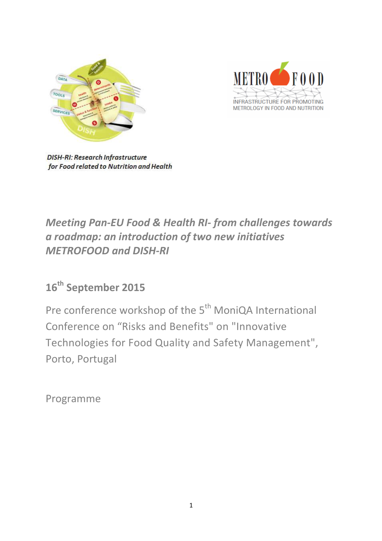



**DISH-RI: Research Infrastructure** for Food related to Nutrition and Health

# *Meeting Pan-EU Food & Health RI- from challenges towards a roadmap: an introduction of two new initiatives METROFOOD and DISH-RI*

# **16th September 2015**

Pre conference workshop of the 5<sup>th</sup> MoniQA International Conference on "Risks and Benefits" on "Innovative Technologies for Food Quality and Safety Management", Porto, Portugal

Programme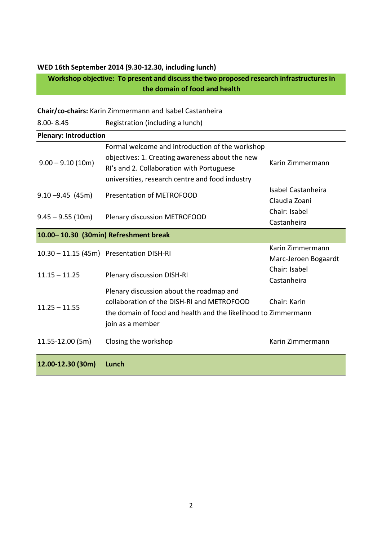### **WED 16th September 2014 (9.30-12.30, including lunch)**

**Workshop objective: To present and discuss the two proposed research infrastructures in the domain of food and health** 

**Chair/co-chairs:** Karin Zimmermann and Isabel Castanheira 8.00- 8.45 Registration (including a lunch) **Plenary: Introduction**   $9.00 - 9.10$  (10m) Formal welcome and introduction of the workshop objectives: 1. Creating awareness about the new RI's and 2. Collaboration with Portuguese universities, research centre and food industry Karin Zimmermann 9.10 -9.45 (45m) Presentation of METROFOOD Isabel Castanheira Claudia Zoani 9.45 – 9.55 (10m) Plenary discussion METROFOOD Chair: Isabel Castanheira **10.00– 10.30 (30min) Refreshment break**  10.30 – 11.15 (45m) Presentation DISH-RI Karin Zimmermann Marc-Jeroen Bogaardt 11.15 – 11.25 Plenary discussion DISH-RI Chair: Isabel Castanheira  $11.25 - 11.55$ Plenary discussion about the roadmap and collaboration of the DISH-RI and METROFOOD the domain of food and health and the likelihood to Zimmermann join as a member Chair: Karin 11.55-12.00 (5m) Closing the workshop Karin Zimmermann **12.00-12.30 (30m) Lunch**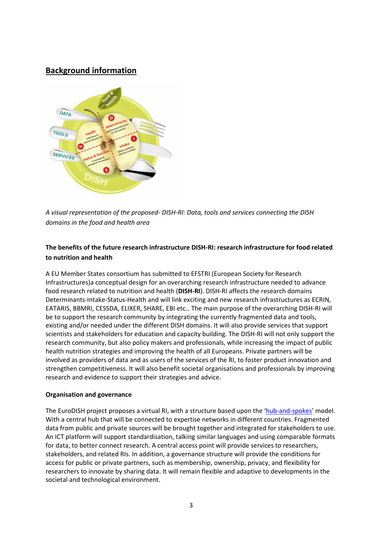# **Background information**



*A visual representation of the proposed- DISH-RI: Data, tools and services connecting the DISH domains in the food and health area*

## **The benefits of the future research infrastructure DISH-RI: research infrastructure for food related to nutrition and health**

A EU Member States consortium has submitted to EFSTRI (European Society for Research Infrastructures)a conceptual design for an overarching research infrastructure needed to advance food research related to nutrition and health (**DISH-RI**). DISH-RI affects the research domains Determinants-Intake-Status-Health and will link exciting and new research infrastructures as ECRIN, EATARIS, BBMRI, CESSDA, ELIXER, SHARE, EBI etc.. The main purpose of the overarching DISH-RI will be to support the research community by integrating the currently fragmented data and tools, existing and/or needed under the different DISH domains. It will also provide services that support scientists and stakeholders for education and capacity building. The DISH-RI will not only support the research community, but also policy makers and professionals, while increasing the impact of public health nutrition strategies and improving the health of all Europeans. Private partners will be involved as providers of data and as users of the services of the RI, to foster product innovation and strengthen competitiveness. It will also benefit societal organisations and professionals by improving research and evidence to support their strategies and advice.

### **Organisation and governance**

The EuroDISH project proposes a virtual RI, with a structure based upon the 'hub-and-spokes' model. With a central hub that will be connected to expertise networks in different countries. Fragmented data from public and private sources will be brought together and integrated for stakeholders to use. An ICT platform will support standardisation, talking similar languages and using comparable formats for data, to better connect research. A central access point will provide services to researchers, stakeholders, and related RIs. In addition, a governance structure will provide the conditions for access for public or private partners, such as membership, ownership, privacy, and flexibility for researchers to innovate by sharing data. It will remain flexible and adaptive to developments in the societal and technological environment.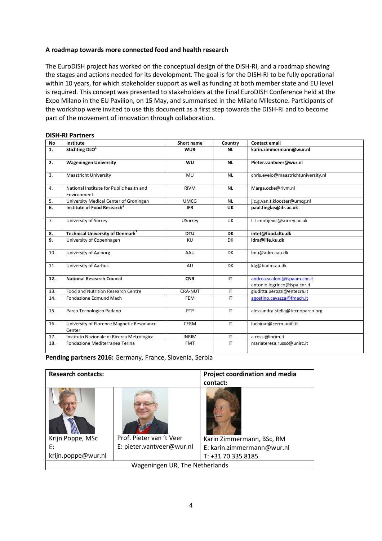#### **A roadmap towards more connected food and health research**

The EuroDISH project has worked on the conceptual design of the DISH-RI, and a roadmap showing the stages and actions needed for its development. The goal is for the DISH-RI to be fully operational within 10 years, for which stakeholder support as well as funding at both member state and EU level is required. This concept was presented to stakeholders at the Final EuroDISH Conference held at the Expo Milano in the EU Pavilion, on 15 May, and summarised in the Milano Milestone. Participants of the workshop were invited to use this document as a first step towards the DISH-RI and to become part of the movement of innovation through collaboration.

#### **DISH-RI Partners**

| <b>No</b> | Institute                                               | <b>Short name</b> | Country                | <b>Contact email</b>                                         |
|-----------|---------------------------------------------------------|-------------------|------------------------|--------------------------------------------------------------|
| 1.        | Stichting DLO <sup>1</sup>                              | <b>WUR</b>        | <b>NL</b>              | karin.zimmermann@wur.nl                                      |
| 2.        | <b>Wageningen University</b>                            | <b>WU</b>         | <b>NL</b>              | Pieter.vantveer@wur.nl                                       |
| 3.        | <b>Maastricht University</b>                            | MU                | <b>NL</b>              | chris.evelo@maastrichtuniversity.nl                          |
| 4.        | National Institute for Public health and<br>Environment | <b>RIVM</b>       | <b>NL</b>              | Marga.ocke@rivm.nl                                           |
| 5.        | University Medical Center of Groningen                  | <b>UMCG</b>       | <b>NL</b>              | j.c.g.van.t.klooster@umcg.nl                                 |
| 6.        | Institute of Food Research <sup>1</sup>                 | <b>IFR</b>        | UK                     | paul.finglas@ifr.ac.uk                                       |
| 7.        | University of Surrey                                    | <b>USurrey</b>    | <b>UK</b>              | L.Timotijevic@surrey.ac.uk                                   |
| 8.        | Technical University of Denmark <sup>1</sup>            | <b>DTU</b>        | <b>DK</b>              | intet@food.dtu.dk                                            |
| 9.        | University of Copenhagen                                | <b>KU</b>         | DK                     | Idra@life.ku.dk                                              |
| 10.       | University of Aalborg                                   | AAU               | <b>DK</b>              | lmu@adm.aau.dk                                               |
| 11        | University of Aarhus                                    | AU                | <b>DK</b>              | klg@badm.au.dk                                               |
| 12.       | <b>National Research Council</b>                        | <b>CNR</b>        | IT                     | andrea.scaloni@ispaam.cnr.it<br>antonio.logrieco@ispa.cnr.it |
| 13.       | Food and Nutrition Research Centre                      | CRA-NUT           | IT                     | giuditta.perozzi@entecra.it                                  |
| 14.       | Fondazione Edmund Mach                                  | <b>FEM</b>        | IT                     | agostino.cavazza@fmach.it                                    |
| 15.       | Parco Tecnologico Padano                                | PTP               | IT                     | alessandra.stella@tecnoparco.org                             |
| 16.       | University of Florence Magnetic Resonance<br>Center     | <b>CERM</b>       | IT                     | luchinat@cerm.unifi.it                                       |
| 17.       | Instituto Nazionale di Ricerca Metrologica              | <b>INRIM</b>      | $\mathsf{I}\mathsf{T}$ | a.rossi@inrim.it                                             |
| 18.       | Fondazione Mediterranea Terina                          | <b>FMT</b>        | $\mathsf{I}\mathsf{T}$ | mariateresa.russo@unirc.it                                   |

Pending partners 2016: Germany, France, Slovenia, Serbia

| <b>Research contacts:</b>                    |                                                       | <b>Project coordination and media</b><br>contact:                             |  |  |  |
|----------------------------------------------|-------------------------------------------------------|-------------------------------------------------------------------------------|--|--|--|
| Krijn Poppe, MSc<br>E:<br>krijn.poppe@wur.nl | Prof. Pieter van 't Veer<br>E: pieter.vantveer@wur.nl | Karin Zimmermann, BSc, RM<br>E: karin.zimmermann@wur.nl<br>T: +31 70 335 8185 |  |  |  |
| Wageningen UR, The Netherlands               |                                                       |                                                                               |  |  |  |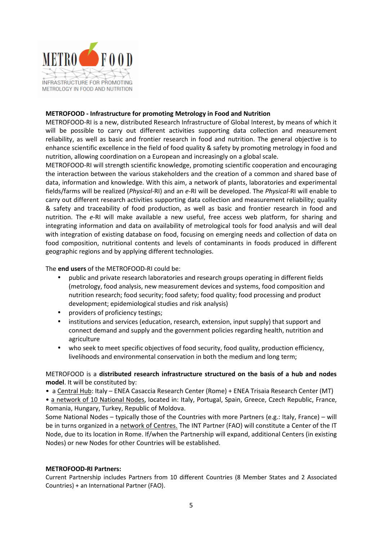

#### **METROFOOD - Infrastructure for promoting Metrology in Food and Nutrition**

METROFOOD-RI is a new, distributed Research Infrastructure of Global Interest, by means of which it will be possible to carry out different activities supporting data collection and measurement reliability, as well as basic and frontier research in food and nutrition. The general objective is to enhance scientific excellence in the field of food quality & safety by promoting metrology in food and nutrition, allowing coordination on a European and increasingly on a global scale.

METROFOOD-RI will strength scientific knowledge, promoting scientific cooperation and encouraging the interaction between the various stakeholders and the creation of a common and shared base of data, information and knowledge. With this aim, a network of plants, laboratories and experimental fields/farms will be realized (*Physical*-RI) and an *e*-RI will be developed. The *Physical*-RI will enable to carry out different research activities supporting data collection and measurement reliability; quality & safety and traceability of food production, as well as basic and frontier research in food and nutrition. The *e*-RI will make available a new useful, free access web platform, for sharing and integrating information and data on availability of metrological tools for food analysis and will deal with integration of existing database on food, focusing on emerging needs and collection of data on food composition, nutritional contents and levels of contaminants in foods produced in different geographic regions and by applying different technologies.

#### The **end users** of the METROFOOD-RI could be:

- public and private research laboratories and research groups operating in different fields (metrology, food analysis, new measurement devices and systems, food composition and nutrition research; food security; food safety; food quality; food processing and product development; epidemiological studies and risk analysis)
- providers of proficiency testings;
- institutions and services (education, research, extension, input supply) that support and connect demand and supply and the government policies regarding health, nutrition and agriculture
- who seek to meet specific objectives of food security, food quality, production efficiency, livelihoods and environmental conservation in both the medium and long term;

#### METROFOOD is a **distributed research infrastructure structured on the basis of a hub and nodes model**. It will be constituted by:

• a Central Hub: Italy – ENEA Casaccia Research Center (Rome) + ENEA Trisaia Research Center (MT)

• a network of 10 National Nodes, located in: Italy, Portugal, Spain, Greece, Czech Republic, France, Romania, Hungary, Turkey, Republic of Moldova.

Some National Nodes – typically those of the Countries with more Partners (e.g.: Italy, France) – will be in turns organized in a network of Centres. The INT Partner (FAO) will constitute a Center of the IT Node, due to its location in Rome. If/when the Partnership will expand, additional Centers (in existing Nodes) or new Nodes for other Countries will be established.

#### **METROFOOD-RI Partners:**

Current Partnership includes Partners from 10 different Countries (8 Member States and 2 Associated Countries) + an International Partner (FAO).